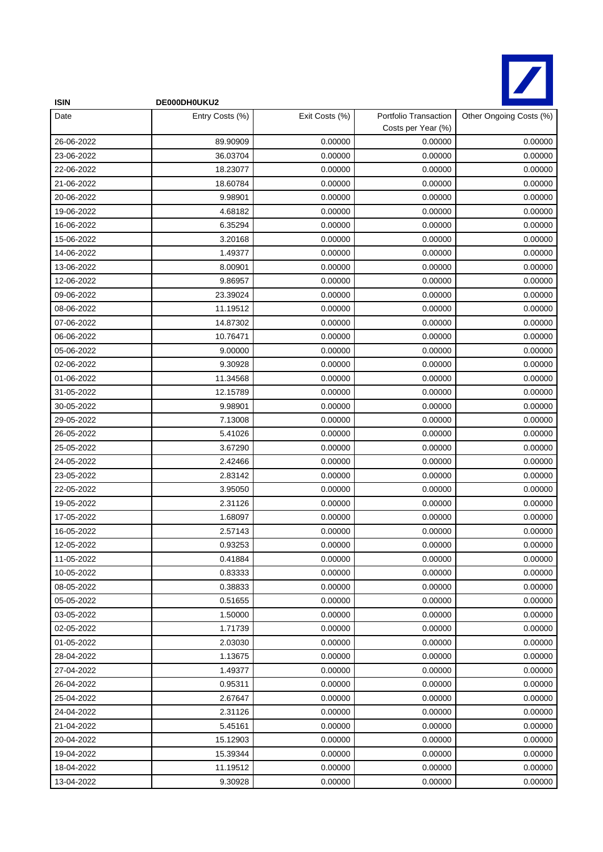

| <b>ISIN</b> | DE000DH0UKU2    |                |                                             |                         |
|-------------|-----------------|----------------|---------------------------------------------|-------------------------|
| Date        | Entry Costs (%) | Exit Costs (%) | Portfolio Transaction<br>Costs per Year (%) | Other Ongoing Costs (%) |
| 26-06-2022  | 89.90909        | 0.00000        | 0.00000                                     | 0.00000                 |
| 23-06-2022  | 36.03704        | 0.00000        | 0.00000                                     | 0.00000                 |
| 22-06-2022  | 18.23077        | 0.00000        | 0.00000                                     | 0.00000                 |
| 21-06-2022  | 18.60784        | 0.00000        | 0.00000                                     | 0.00000                 |
| 20-06-2022  | 9.98901         | 0.00000        | 0.00000                                     | 0.00000                 |
| 19-06-2022  | 4.68182         | 0.00000        | 0.00000                                     | 0.00000                 |
| 16-06-2022  | 6.35294         | 0.00000        | 0.00000                                     | 0.00000                 |
| 15-06-2022  | 3.20168         | 0.00000        | 0.00000                                     | 0.00000                 |
| 14-06-2022  | 1.49377         | 0.00000        | 0.00000                                     | 0.00000                 |
| 13-06-2022  | 8.00901         | 0.00000        | 0.00000                                     | 0.00000                 |
| 12-06-2022  | 9.86957         | 0.00000        | 0.00000                                     | 0.00000                 |
| 09-06-2022  | 23.39024        | 0.00000        | 0.00000                                     | 0.00000                 |
| 08-06-2022  | 11.19512        | 0.00000        | 0.00000                                     | 0.00000                 |
| 07-06-2022  | 14.87302        | 0.00000        | 0.00000                                     | 0.00000                 |
| 06-06-2022  | 10.76471        | 0.00000        | 0.00000                                     | 0.00000                 |
| 05-06-2022  | 9.00000         | 0.00000        | 0.00000                                     | 0.00000                 |
| 02-06-2022  | 9.30928         | 0.00000        | 0.00000                                     | 0.00000                 |
| 01-06-2022  | 11.34568        | 0.00000        | 0.00000                                     | 0.00000                 |
| 31-05-2022  | 12.15789        | 0.00000        | 0.00000                                     | 0.00000                 |
| 30-05-2022  | 9.98901         | 0.00000        | 0.00000                                     | 0.00000                 |
| 29-05-2022  | 7.13008         | 0.00000        | 0.00000                                     | 0.00000                 |
| 26-05-2022  | 5.41026         | 0.00000        | 0.00000                                     | 0.00000                 |
| 25-05-2022  | 3.67290         | 0.00000        | 0.00000                                     | 0.00000                 |
| 24-05-2022  | 2.42466         | 0.00000        | 0.00000                                     | 0.00000                 |
| 23-05-2022  | 2.83142         | 0.00000        | 0.00000                                     | 0.00000                 |
| 22-05-2022  | 3.95050         | 0.00000        | 0.00000                                     | 0.00000                 |
| 19-05-2022  | 2.31126         | 0.00000        | 0.00000                                     | 0.00000                 |
| 17-05-2022  | 1.68097         | 0.00000        | 0.00000                                     | 0.00000                 |
| 16-05-2022  | 2.57143         | 0.00000        | 0.00000                                     | 0.00000                 |
| 12-05-2022  | 0.93253         | 0.00000        | 0.00000                                     | 0.00000                 |
| 11-05-2022  | 0.41884         | 0.00000        | 0.00000                                     | 0.00000                 |
| 10-05-2022  | 0.83333         | 0.00000        | 0.00000                                     | 0.00000                 |
| 08-05-2022  | 0.38833         | 0.00000        | 0.00000                                     | 0.00000                 |
| 05-05-2022  | 0.51655         | 0.00000        | 0.00000                                     | 0.00000                 |
| 03-05-2022  | 1.50000         | 0.00000        | 0.00000                                     | 0.00000                 |
| 02-05-2022  | 1.71739         | 0.00000        | 0.00000                                     | 0.00000                 |
| 01-05-2022  | 2.03030         | 0.00000        | 0.00000                                     | 0.00000                 |
| 28-04-2022  | 1.13675         | 0.00000        | 0.00000                                     | 0.00000                 |
| 27-04-2022  | 1.49377         | 0.00000        | 0.00000                                     | 0.00000                 |
| 26-04-2022  | 0.95311         | 0.00000        | 0.00000                                     | 0.00000                 |
| 25-04-2022  | 2.67647         | 0.00000        | 0.00000                                     | 0.00000                 |
| 24-04-2022  | 2.31126         | 0.00000        | 0.00000                                     | 0.00000                 |
| 21-04-2022  | 5.45161         | 0.00000        | 0.00000                                     | 0.00000                 |
| 20-04-2022  | 15.12903        | 0.00000        | 0.00000                                     | 0.00000                 |
| 19-04-2022  | 15.39344        | 0.00000        | 0.00000                                     | 0.00000                 |
| 18-04-2022  | 11.19512        | 0.00000        | 0.00000                                     | 0.00000                 |
| 13-04-2022  | 9.30928         | 0.00000        | 0.00000                                     | 0.00000                 |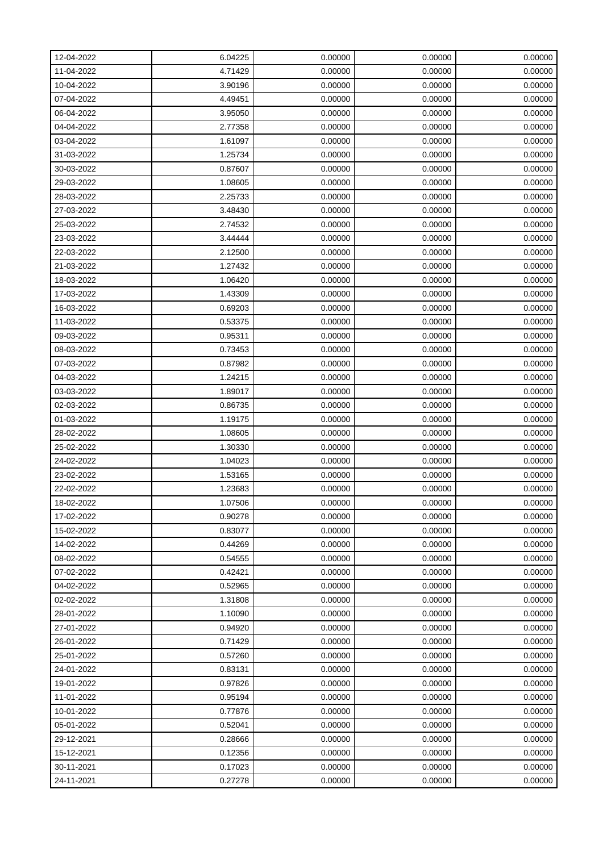| 12-04-2022 | 6.04225 | 0.00000 | 0.00000 | 0.00000 |
|------------|---------|---------|---------|---------|
| 11-04-2022 | 4.71429 | 0.00000 | 0.00000 | 0.00000 |
| 10-04-2022 | 3.90196 | 0.00000 | 0.00000 | 0.00000 |
| 07-04-2022 | 4.49451 | 0.00000 | 0.00000 | 0.00000 |
| 06-04-2022 | 3.95050 | 0.00000 | 0.00000 | 0.00000 |
| 04-04-2022 | 2.77358 | 0.00000 | 0.00000 | 0.00000 |
| 03-04-2022 | 1.61097 | 0.00000 | 0.00000 | 0.00000 |
| 31-03-2022 | 1.25734 | 0.00000 | 0.00000 | 0.00000 |
| 30-03-2022 | 0.87607 | 0.00000 | 0.00000 | 0.00000 |
| 29-03-2022 | 1.08605 | 0.00000 | 0.00000 | 0.00000 |
| 28-03-2022 | 2.25733 | 0.00000 | 0.00000 | 0.00000 |
| 27-03-2022 | 3.48430 | 0.00000 | 0.00000 | 0.00000 |
| 25-03-2022 | 2.74532 | 0.00000 | 0.00000 | 0.00000 |
| 23-03-2022 | 3.44444 | 0.00000 | 0.00000 | 0.00000 |
| 22-03-2022 | 2.12500 | 0.00000 | 0.00000 | 0.00000 |
| 21-03-2022 | 1.27432 | 0.00000 | 0.00000 | 0.00000 |
| 18-03-2022 | 1.06420 | 0.00000 | 0.00000 | 0.00000 |
| 17-03-2022 | 1.43309 | 0.00000 | 0.00000 | 0.00000 |
| 16-03-2022 | 0.69203 | 0.00000 | 0.00000 | 0.00000 |
| 11-03-2022 | 0.53375 | 0.00000 | 0.00000 | 0.00000 |
| 09-03-2022 | 0.95311 | 0.00000 | 0.00000 | 0.00000 |
| 08-03-2022 | 0.73453 | 0.00000 | 0.00000 | 0.00000 |
| 07-03-2022 | 0.87982 | 0.00000 | 0.00000 | 0.00000 |
| 04-03-2022 | 1.24215 | 0.00000 | 0.00000 | 0.00000 |
| 03-03-2022 | 1.89017 | 0.00000 | 0.00000 | 0.00000 |
| 02-03-2022 | 0.86735 | 0.00000 | 0.00000 | 0.00000 |
| 01-03-2022 | 1.19175 | 0.00000 | 0.00000 | 0.00000 |
| 28-02-2022 | 1.08605 | 0.00000 | 0.00000 | 0.00000 |
| 25-02-2022 | 1.30330 | 0.00000 | 0.00000 | 0.00000 |
| 24-02-2022 | 1.04023 | 0.00000 | 0.00000 | 0.00000 |
| 23-02-2022 | 1.53165 | 0.00000 | 0.00000 | 0.00000 |
| 22-02-2022 | 1.23683 | 0.00000 | 0.00000 | 0.00000 |
| 18-02-2022 | 1.07506 | 0.00000 | 0.00000 | 0.00000 |
| 17-02-2022 | 0.90278 | 0.00000 | 0.00000 | 0.00000 |
| 15-02-2022 | 0.83077 | 0.00000 | 0.00000 | 0.00000 |
| 14-02-2022 | 0.44269 | 0.00000 | 0.00000 | 0.00000 |
| 08-02-2022 | 0.54555 | 0.00000 | 0.00000 | 0.00000 |
| 07-02-2022 | 0.42421 | 0.00000 | 0.00000 | 0.00000 |
| 04-02-2022 | 0.52965 | 0.00000 | 0.00000 | 0.00000 |
| 02-02-2022 | 1.31808 | 0.00000 | 0.00000 | 0.00000 |
| 28-01-2022 | 1.10090 | 0.00000 | 0.00000 | 0.00000 |
| 27-01-2022 | 0.94920 | 0.00000 | 0.00000 | 0.00000 |
| 26-01-2022 | 0.71429 | 0.00000 | 0.00000 | 0.00000 |
| 25-01-2022 | 0.57260 | 0.00000 | 0.00000 | 0.00000 |
| 24-01-2022 | 0.83131 | 0.00000 | 0.00000 | 0.00000 |
| 19-01-2022 | 0.97826 | 0.00000 | 0.00000 | 0.00000 |
| 11-01-2022 | 0.95194 | 0.00000 | 0.00000 | 0.00000 |
| 10-01-2022 | 0.77876 | 0.00000 | 0.00000 | 0.00000 |
| 05-01-2022 | 0.52041 | 0.00000 | 0.00000 | 0.00000 |
| 29-12-2021 | 0.28666 | 0.00000 | 0.00000 | 0.00000 |
| 15-12-2021 | 0.12356 | 0.00000 | 0.00000 | 0.00000 |
| 30-11-2021 | 0.17023 | 0.00000 | 0.00000 | 0.00000 |
| 24-11-2021 | 0.27278 | 0.00000 | 0.00000 | 0.00000 |